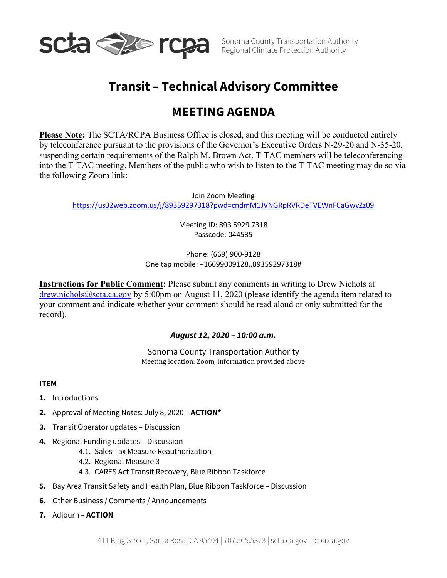

Sonoma County Transportation Authority

# **Transit – Technical Advisory Committee**

## **MEETING AGENDA**

**Please Note:** The SCTA/RCPA Business Office is closed, and this meeting will be conducted entirely by teleconference pursuant to the provisions of the Governor's Executive Orders N-29-20 and N-35-20, suspending certain requirements of the Ralph M. Brown Act. T-TAC members will be teleconferencing into the T-TAC meeting. Members of the public who wish to listen to the T-TAC meeting may do so via the following Zoom link:

Join Zoom Meeting <https://us02web.zoom.us/j/89359297318?pwd=cndmM1JVNGRpRVRDeTVEWnFCaGwvZz09>

> Meeting ID: 893 5929 7318 Passcode: 044535

## Phone: (669) 900-9128 One tap mobile: +16699009128,,89359297318#

**Instructions for Public Comment:** Please submit any comments in writing to Drew Nichols at [drew.nichols@scta.ca.gov](mailto:drew.nichols@scta.ca.gov) by 5:00pm on August 11, 2020 (please identify the agenda item related to your comment and indicate whether your comment should be read aloud or only submitted for the record).

## *August 12, 2020 – 10:00 a.m.*

Sonoma County Transportation Authority Meeting location: Zoom, information provided above

## **ITEM**

- **1.** Introductions
- **2.** Approval of Meeting Notes: July 8, 2020 **ACTION\***
- **3.** Transit Operator updates Discussion
- **4.** Regional Funding updates Discussion
	- 4.1. Sales Tax Measure Reauthorization
	- 4.2. Regional Measure 3
	- 4.3. CARES Act Transit Recovery, Blue Ribbon Taskforce
- **5.** Bay Area Transit Safety and Health Plan, Blue Ribbon Taskforce Discussion
- **6.** Other Business / Comments / Announcements
- **7.** Adjourn **ACTION**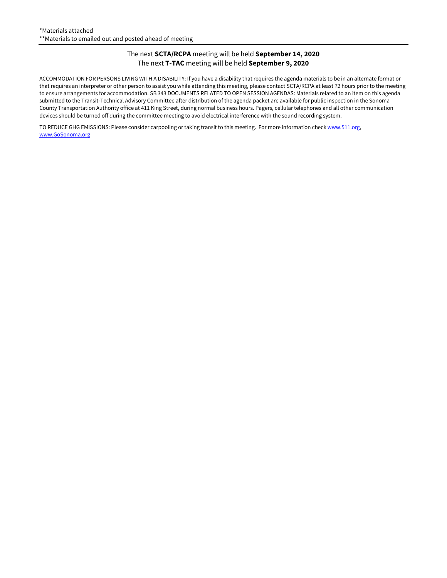#### The next **SCTA/RCPA** meeting will be held **September 14, 2020** The next **T-TAC** meeting will be held **September 9, 2020**

ACCOMMODATION FOR PERSONS LIVING WITH A DISABILITY: If you have a disability that requires the agenda materials to be in an alternate format or that requires an interpreter or other person to assist you while attending this meeting, please contact SCTA/RCPA at least 72 hours prior to the meeting to ensure arrangements for accommodation. SB 343 DOCUMENTS RELATED TO OPEN SESSION AGENDAS: Materials related to an item on this agenda submitted to the Transit-Technical Advisory Committee after distribution of the agenda packet are available for public inspection in the Sonoma County Transportation Authority office at 411 King Street, during normal business hours. Pagers, cellular telephones and all other communication devices should be turned off during the committee meeting to avoid electrical interference with the sound recording system.

TO REDUCE GHG EMISSIONS: Please consider carpooling or taking transit to this meeting. For more information chec[k www.511.org,](http://www.511.org/) [www.GoSonoma.org](http://www.gosonoma.org/)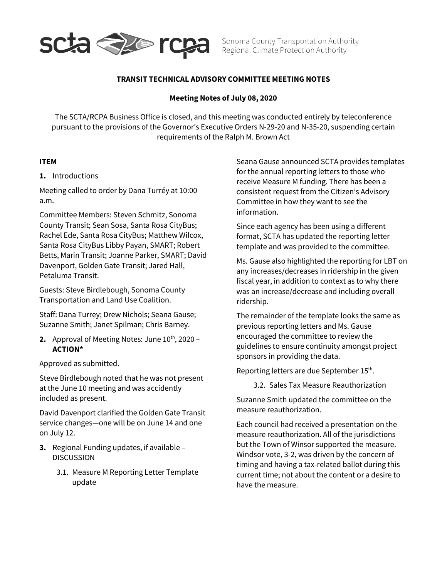

Sonoma County Transportation Authority Regional Climate Protection Authority

## **TRANSIT TECHNICAL ADVISORY COMMITTEE MEETING NOTES**

#### **Meeting Notes of July 08, 2020**

The SCTA/RCPA Business Office is closed, and this meeting was conducted entirely by teleconference pursuant to the provisions of the Governor's Executive Orders N-29-20 and N-35-20, suspending certain requirements of the Ralph M. Brown Act

#### **ITEM**

#### **1.** Introductions

Meeting called to order by Dana Turréy at 10:00 a.m.

Committee Members: Steven Schmitz, Sonoma County Transit; Sean Sosa, Santa Rosa CityBus; Rachel Ede, Santa Rosa CityBus; Matthew Wilcox, Santa Rosa CityBus Libby Payan, SMART; Robert Betts, Marin Transit; Joanne Parker, SMART; David Davenport, Golden Gate Transit; Jared Hall, Petaluma Transit.

Guests: Steve Birdlebough, Sonoma County Transportation and Land Use Coalition.

Staff: Dana Turrey; Drew Nichols; Seana Gause; Suzanne Smith; Janet Spilman; Chris Barney.

**2.** Approval of Meeting Notes: June  $10^{th}$ , 2020 – **ACTION\***

Approved as submitted.

Steve Birdlebough noted that he was not present at the June 10 meeting and was accidently included as present.

David Davenport clarified the Golden Gate Transit service changes—one will be on June 14 and one on July 12.

- **3.** Regional Funding updates, if available DISCUSSION
	- 3.1. Measure M Reporting Letter Template update

Seana Gause announced SCTA provides templates for the annual reporting letters to those who receive Measure M funding. There has been a consistent request from the Citizen's Advisory Committee in how they want to see the information.

Since each agency has been using a different format, SCTA has updated the reporting letter template and was provided to the committee.

Ms. Gause also highlighted the reporting for LBT on any increases/decreases in ridership in the given fiscal year, in addition to context as to why there was an increase/decrease and including overall ridership.

The remainder of the template looks the same as previous reporting letters and Ms. Gause encouraged the committee to review the guidelines to ensure continuity amongst project sponsors in providing the data.

Reporting letters are due September 15<sup>th</sup>.

3.2. Sales Tax Measure Reauthorization

Suzanne Smith updated the committee on the measure reauthorization.

Each council had received a presentation on the measure reauthorization. All of the jurisdictions but the Town of Winsor supported the measure. Windsor vote, 3-2, was driven by the concern of timing and having a tax-related ballot during this current time; not about the content or a desire to have the measure.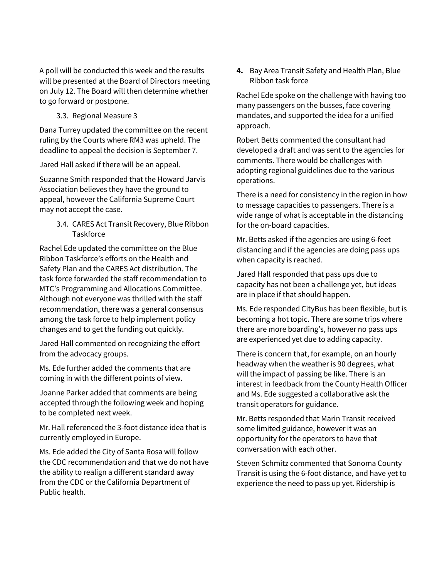A poll will be conducted this week and the results will be presented at the Board of Directors meeting on July 12. The Board will then determine whether to go forward or postpone.

3.3. Regional Measure 3

Dana Turrey updated the committee on the recent ruling by the Courts where RM3 was upheld. The deadline to appeal the decision is September 7.

Jared Hall asked if there will be an appeal.

Suzanne Smith responded that the Howard Jarvis Association believes they have the ground to appeal, however the California Supreme Court may not accept the case.

> 3.4. CARES Act Transit Recovery, Blue Ribbon **Taskforce**

Rachel Ede updated the committee on the Blue Ribbon Taskforce's efforts on the Health and Safety Plan and the CARES Act distribution. The task force forwarded the staff recommendation to MTC's Programming and Allocations Committee. Although not everyone was thrilled with the staff recommendation, there was a general consensus among the task force to help implement policy changes and to get the funding out quickly.

Jared Hall commented on recognizing the effort from the advocacy groups.

Ms. Ede further added the comments that are coming in with the different points of view.

Joanne Parker added that comments are being accepted through the following week and hoping to be completed next week.

Mr. Hall referenced the 3-foot distance idea that is currently employed in Europe.

Ms. Ede added the City of Santa Rosa will follow the CDC recommendation and that we do not have the ability to realign a different standard away from the CDC or the California Department of Public health.

**4.** Bay Area Transit Safety and Health Plan, Blue Ribbon task force

Rachel Ede spoke on the challenge with having too many passengers on the busses, face covering mandates, and supported the idea for a unified approach.

Robert Betts commented the consultant had developed a draft and was sent to the agencies for comments. There would be challenges with adopting regional guidelines due to the various operations.

There is a need for consistency in the region in how to message capacities to passengers. There is a wide range of what is acceptable in the distancing for the on-board capacities.

Mr. Betts asked if the agencies are using 6-feet distancing and if the agencies are doing pass ups when capacity is reached.

Jared Hall responded that pass ups due to capacity has not been a challenge yet, but ideas are in place if that should happen.

Ms. Ede responded CityBus has been flexible, but is becoming a hot topic. There are some trips where there are more boarding's, however no pass ups are experienced yet due to adding capacity.

There is concern that, for example, on an hourly headway when the weather is 90 degrees, what will the impact of passing be like. There is an interest in feedback from the County Health Officer and Ms. Ede suggested a collaborative ask the transit operators for guidance.

Mr. Betts responded that Marin Transit received some limited guidance, however it was an opportunity for the operators to have that conversation with each other.

Steven Schmitz commented that Sonoma County Transit is using the 6-foot distance, and have yet to experience the need to pass up yet. Ridership is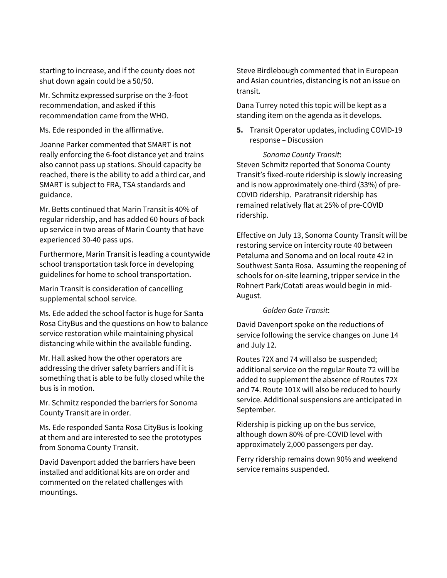starting to increase, and if the county does not shut down again could be a 50/50.

Mr. Schmitz expressed surprise on the 3-foot recommendation, and asked if this recommendation came from the WHO.

Ms. Ede responded in the affirmative.

Joanne Parker commented that SMART is not really enforcing the 6-foot distance yet and trains also cannot pass up stations. Should capacity be reached, there is the ability to add a third car, and SMART is subject to FRA, TSA standards and guidance.

Mr. Betts continued that Marin Transit is 40% of regular ridership, and has added 60 hours of back up service in two areas of Marin County that have experienced 30-40 pass ups.

Furthermore, Marin Transit is leading a countywide school transportation task force in developing guidelines for home to school transportation.

Marin Transit is consideration of cancelling supplemental school service.

Ms. Ede added the school factor is huge for Santa Rosa CityBus and the questions on how to balance service restoration while maintaining physical distancing while within the available funding.

Mr. Hall asked how the other operators are addressing the driver safety barriers and if it is something that is able to be fully closed while the bus is in motion.

Mr. Schmitz responded the barriers for Sonoma County Transit are in order.

Ms. Ede responded Santa Rosa CityBus is looking at them and are interested to see the prototypes from Sonoma County Transit.

David Davenport added the barriers have been installed and additional kits are on order and commented on the related challenges with mountings.

Steve Birdlebough commented that in European and Asian countries, distancing is not an issue on transit.

Dana Turrey noted this topic will be kept as a standing item on the agenda as it develops.

**5.** Transit Operator updates, including COVID-19 response – Discussion

#### *Sonoma County Transit*:

Steven Schmitz reported that Sonoma County Transit's fixed-route ridership is slowly increasing and is now approximately one-third (33%) of pre-COVID ridership. Paratransit ridership has remained relatively flat at 25% of pre-COVID ridership.

Effective on July 13, Sonoma County Transit will be restoring service on intercity route 40 between Petaluma and Sonoma and on local route 42 in Southwest Santa Rosa. Assuming the reopening of schools for on-site learning, tripper service in the Rohnert Park/Cotati areas would begin in mid-August.

#### *Golden Gate Transit*:

David Davenport spoke on the reductions of service following the service changes on June 14 and July 12.

Routes 72X and 74 will also be suspended; additional service on the regular Route 72 will be added to supplement the absence of Routes 72X and 74. Route 101X will also be reduced to hourly service. Additional suspensions are anticipated in September.

Ridership is picking up on the bus service, although down 80% of pre-COVID level with approximately 2,000 passengers per day.

Ferry ridership remains down 90% and weekend service remains suspended.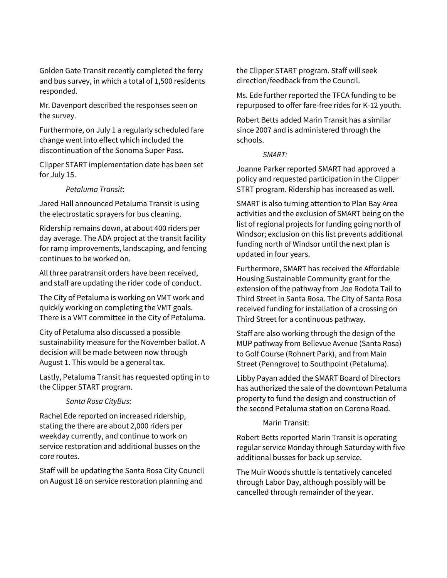Golden Gate Transit recently completed the ferry and bus survey, in which a total of 1,500 residents responded.

Mr. Davenport described the responses seen on the survey.

Furthermore, on July 1 a regularly scheduled fare change went into effect which included the discontinuation of the Sonoma Super Pass.

Clipper START implementation date has been set for July 15.

#### *Petaluma Transit*:

Jared Hall announced Petaluma Transit is using the electrostatic sprayers for bus cleaning.

Ridership remains down, at about 400 riders per day average. The ADA project at the transit facility for ramp improvements, landscaping, and fencing continues to be worked on.

All three paratransit orders have been received, and staff are updating the rider code of conduct.

The City of Petaluma is working on VMT work and quickly working on completing the VMT goals. There is a VMT committee in the City of Petaluma.

City of Petaluma also discussed a possible sustainability measure for the November ballot. A decision will be made between now through August 1. This would be a general tax.

Lastly, Petaluma Transit has requested opting in to the Clipper START program.

#### *Santa Rosa CityBus*:

Rachel Ede reported on increased ridership, stating the there are about 2,000 riders per weekday currently, and continue to work on service restoration and additional busses on the core routes.

Staff will be updating the Santa Rosa City Council on August 18 on service restoration planning and

the Clipper START program. Staff will seek direction/feedback from the Council.

Ms. Ede further reported the TFCA funding to be repurposed to offer fare-free rides for K-12 youth.

Robert Betts added Marin Transit has a similar since 2007 and is administered through the schools.

*SMART:* 

Joanne Parker reported SMART had approved a policy and requested participation in the Clipper STRT program. Ridership has increased as well.

SMART is also turning attention to Plan Bay Area activities and the exclusion of SMART being on the list of regional projects for funding going north of Windsor; exclusion on this list prevents additional funding north of Windsor until the next plan is updated in four years.

Furthermore, SMART has received the Affordable Housing Sustainable Community grant for the extension of the pathway from Joe Rodota Tail to Third Street in Santa Rosa. The City of Santa Rosa received funding for installation of a crossing on Third Street for a continuous pathway.

Staff are also working through the design of the MUP pathway from Bellevue Avenue (Santa Rosa) to Golf Course (Rohnert Park), and from Main Street (Penngrove) to Southpoint (Petaluma).

Libby Payan added the SMART Board of Directors has authorized the sale of the downtown Petaluma property to fund the design and construction of the second Petaluma station on Corona Road.

Marin Transit:

Robert Betts reported Marin Transit is operating regular service Monday through Saturday with five additional busses for back up service.

The Muir Woods shuttle is tentatively canceled through Labor Day, although possibly will be cancelled through remainder of the year.